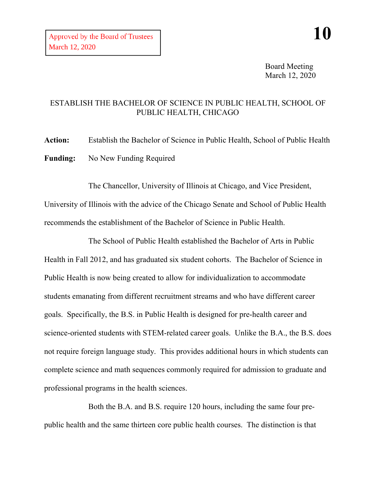Board Meeting March 12, 2020

## ESTABLISH THE BACHELOR OF SCIENCE IN PUBLIC HEALTH, SCHOOL OF PUBLIC HEALTH, CHICAGO

**Action:** Establish the Bachelor of Science in Public Health, School of Public Health **Funding:** No New Funding Required

The Chancellor, University of Illinois at Chicago, and Vice President, University of Illinois with the advice of the Chicago Senate and School of Public Health recommends the establishment of the Bachelor of Science in Public Health.

The School of Public Health established the Bachelor of Arts in Public Health in Fall 2012, and has graduated six student cohorts. The Bachelor of Science in Public Health is now being created to allow for individualization to accommodate students emanating from different recruitment streams and who have different career goals. Specifically, the B.S. in Public Health is designed for pre-health career and science-oriented students with STEM-related career goals. Unlike the B.A., the B.S. does not require foreign language study. This provides additional hours in which students can complete science and math sequences commonly required for admission to graduate and professional programs in the health sciences.

Both the B.A. and B.S. require 120 hours, including the same four prepublic health and the same thirteen core public health courses. The distinction is that